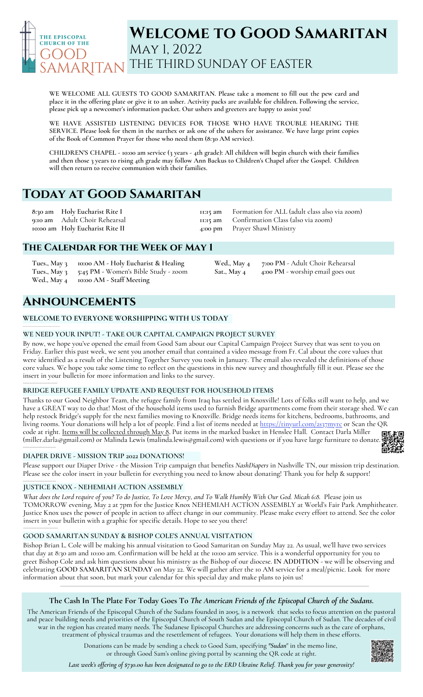

# **Welcome to Good Samaritan** May 1, 2022 THE THIRD SUNDAY OF EASTER

**WE WELCOME ALL GUESTS TO GOOD SAMARITAN. Please take a moment to fill out the pew card and** place it in the offering plate or give it to an usher. Activity packs are available for children. Following the service, **please pick up a newcomer's information packet. Our ushers and greeters are happy to assist you!**

**WE HAVE ASSISTED LISTENING DEVICES FOR THOSE WHO HAVE TROUBLE HEARING THE** SERVICE. Please look for them in the narthex or ask one of the ushers for assistance. We have large print copies **of the Book of Common Prayer for those who need them (8:30 AM service).**

CHILDREN'S CHAPEL - 10:00 am service (3 years - 4th grade): All children will begin church with their families and then those 3 years to rising 4th grade may follow Ann Backus to Children's Chapel after the Gospel. Children **will then return to receive communion with their families.**

# **Today at Good Samaritan**

**8:30 am 9:10 am 10:00 am Holy Eucharist Rite II Holy Eucharist Rite I** Adult Choir Rehearsal **11:15 am 11:15 am 4:00 pm**

Formation for ALL (adult class also via zoom) Confirmation Class (also via zoom) Prayer Shawl Ministry

**Wed., May 4 7:00 PM** - Adult Choir Rehearsal

**Sat., May 4 4:00 PM** - worship email goes out

## **The Calendar for the Week of May 1**

**Tues., May 3 10:00 AM - Holy Eucharist & Healing Tues., May 3 5:45 PM -** Women's Bible Study - zoom **Wed., May 4 10:00 AM - Staff Meeting**

# **Announcements**

\_\_\_\_\_\_\_\_\_\_\_\_\_\_\_\_\_\_\_\_\_

**\_\_\_\_\_\_\_\_\_\_\_\_\_\_\_\_\_\_\_\_\_\_\_\_\_\_\_\_\_\_\_\_\_\_**

\_\_\_\_\_\_\_\_\_\_\_\_\_\_\_\_\_\_\_\_

\_\_\_\_\_\_\_\_\_\_\_\_\_\_\_\_\_\_\_\_\_

## **WELCOME TO EVERYONE WORSHIPPING WITH US TODAY**

## **WE NEED YOUR INPUT! - TAKE OUR CAPITAL CAMPAIGN PROJECT SURVEY**

By now, we hope you've opened the email from Good Sam about our Capital Campaign Project Survey that was sent to you on Friday. Earlier this past week, we sent you another email that contained a video message from Fr. Cal about the core values that were identified as a result of the Listening Together Survey you took in January. The email also revealed the definitions of those core values. We hope you take some time to reflect on the questions in this new survey and thoughtfully fill it out. Please see the insert in your bulletin for more information and links to the survey.

## **BRIDGE REFUGEE FAMILY UPDATE AND REQUEST FOR HOUSEHOLD ITEMS**

Thanks to our Good Neighbor Team, the refugee family from Iraq has settled in Knoxville! Lots of folks still want to help, and we have a GREAT way to do that! Most of the household items used to furnish Bridge apartments come from their storage shed. We can help restock Bridge's supply for the next families moving to Knoxville. Bridge needs items for kitchens, bedrooms, bathrooms, and living rooms. Your donations will help a lot of people. Find a list of items needed at <https://tinyurl.com/2s37myrc> or Scan the QR code at right. Items will be collected through May 8**.** Put items in the marked basket in Henslee Hall. Contact Darla Miller [\(miller.darla@gmail.com](mailto:miller.darla@gmail.com)) or Malinda Lewis ([malinda.lewis@gmail.com](mailto:malinda.lewis@gmail.com)) with questions or if you have large furniture to donate. \_\_\_\_\_\_\_\_\_\_\_\_\_\_\_\_\_\_\_\_

## **DIAPER DRIVE - MISSION TRIP 2022 DONATIONS!**

Please support our Diaper Drive - the Mission Trip campaign that benefits *NashDiapers* in Nashville TN, our mission trip destination. Please see the color insert in your bulletin for everything you need to know about donating! Thank you for help & support!

## **JUSTICE KNOX - NEHEMIAH ACTION ASSEMBLY**

What does the Lord require of you? To do Justice, To Love Mercy, and To Walk Humbly With Our God. Micah 6:8. Please join us TOMORROW evening, May 2 at 7pm for the Justice Knox NEHEMIAH ACTION ASSEMBLY at World's Fair Park Amphitheater. Justice Knox uses the power of people in action to affect change in our community. Please make every effort to attend. See the color insert in your bulletin with a graphic for specific details. Hope to see you there!

## **GOOD SAMARITAN SUNDAY & BISHOP COLE'S ANNUAL VISITATION**

Bishop Brian L. Cole will be making his annual visitation to Good Samaritan on Sunday May 22. As usual, we'll have two services that day at 8:30 am and 10:00 am. Confirmation will be held at the 10:00 am service. This is a wonderful opportunity for you to greet Bishop Cole and ask him questions about his ministry as the Bishop of our diocese. **IN ADDITION** - we will be observing and celebrating **GOOD SAMARITAN SUNDAY** on May 22. We will gather after the 10 AM service for a meal/picnic. Look for more information about that soon, but mark your calendar for this special day and make plans to join us!

## The Cash In The Plate For Today Goes To The American Friends of the Episcopal Church of the Sudans.

The American Friends of the Episcopal Church of the Sudans founded in 2005, is a network that seeks to focus attention on the pastoral and peace building needs and priorities of the Episcopal Church of South Sudan and the Episcopal Church of Sudan. The decades of civil war in the region has created many needs. The Sudanese Episcopal Churches are addressing concerns such as the care of orphans, treatment of physical traumas and the resettlement of refugees. Your donations will help them in these efforts.

> Donations can be made by sending a check to Good Sam, specifying *"Sudan*" in the memo line, or through Good Sam's online giving portal by scanning the QR code at right.

Last week's offering of \$730.00 has been designated to go to the ERD Ukraine Relief. Thank you for your generosity!